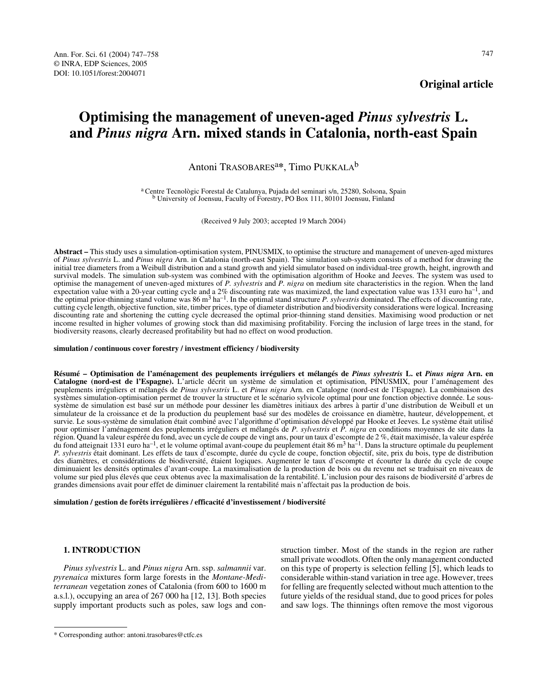# **Original article**

# **Optimising the management of uneven-aged** *Pinus sylvestris* **L. and** *Pinus nigra* **Arn. mixed stands in Catalonia, north-east Spain**

# Antoni TRASOBARESa**\***, Timo PUKKALAb

a Centre Tecnològic Forestal de Catalunya, Pujada del seminari s/n, 25280, Solsona, Spain b University of Joensuu, Faculty of Forestry, PO Box 111, 80101 Joensuu, Finland

(Received 9 July 2003; accepted 19 March 2004)

**Abstract –** This study uses a simulation-optimisation system, PINUSMIX, to optimise the structure and management of uneven-aged mixtures of *Pinus sylvestris* L. and *Pinus nigra* Arn. in Catalonia (north-east Spain). The simulation sub-system consists of a method for drawing the initial tree diameters from a Weibull distribution and a stand growth and yield simulator based on individual-tree growth, height, ingrowth and survival models. The simulation sub-system was combined with the optimisation algorithm of Hooke and Jeeves. The system was used to optimise the management of uneven-aged mixtures of *P. sylvestris* and *P. nigra* on medium site characteristics in the region. When the land expectation value with a 20-year cutting cycle and a 2% discounting rate was maximized, the land expectation value was 1331 euro ha<sup>-1</sup>, and the optimal prior-thinning stand volume was 86 m<sup>3</sup> ha<sup>-1</sup>. In the optimal stand structure *P. sylvestris* dominated. The effects of discounting rate, cutting cycle length, objective function, site, timber prices, type of diameter distribution and biodiversity considerations were logical. Increasing discounting rate and shortening the cutting cycle decreased the optimal prior-thinning stand densities. Maximising wood production or net income resulted in higher volumes of growing stock than did maximising profitability. Forcing the inclusion of large trees in the stand, for biodiversity reasons, clearly decreased profitability but had no effect on wood production.

### **simulation / continuous cover forestry / investment efficiency / biodiversity**

**Résumé – Optimisation de l'aménagement des peuplements irréguliers et mélangés de** *Pinus sylvestris* **L. et** *Pinus nigra* **Arn. en Catalogne (nord-est de l'Espagne).** L'article décrit un système de simulation et optimisation, PINUSMIX, pour l'aménagement des peuplements irréguliers et mélangés de *Pinus sylvestris* L. et *Pinus nigra* Arn. en Catalogne (nord-est de l'Espagne). La combinaison des systèmes simulation-optimisation permet de trouver la structure et le scénario sylvicole optimal pour une fonction objective donnée. Le soussystème de simulation est basé sur un méthode pour dessiner les diamètres initiaux des arbres à partir d'une distribution de Weibull et un simulateur de la croissance et de la production du peuplement basé sur des modèles de croissance en diamètre, hauteur, développement, et survie. Le sous-système de simulation était combiné avec l'algorithme d'optimisation développé par Hooke et Jeeves. Le système était utilisé pour optimiser l'aménagement des peuplements irréguliers et mélangés de *P. sylvestris* et *P. nigra* en conditions moyennes de site dans la région. Quand la valeur espérée du fond, avec un cycle de coupe de vingt ans, pour un taux d'escompte de 2 %, était maximisée, la valeur espérée du fond atteignait 1331 euro ha<sup>-1</sup>, et le volume optimal avant-coupe du peuplement était 86 m<sup>3</sup> ha<sup>-1</sup>. Dans la structure optimale du peuplement *P. sylvestris* était dominant. Les effets de taux d'escompte, durée du cycle de coupe, fonction objectif, site, prix du bois, type de distribution des diamètres, et considérations de biodiversité, étaient logiques. Augmenter le taux d'escompte et écourter la durée du cycle de coupe diminuaient les densités optimales d'avant-coupe. La maximalisation de la production de bois ou du revenu net se traduisait en niveaux de volume sur pied plus élevés que ceux obtenus avec la maximalisation de la rentabilité. L'inclusion pour des raisons de biodiversité d'arbres de grandes dimensions avait pour effet de diminuer clairement la rentabilité mais n'affectait pas la production de bois.

# **simulation / gestion de forêts irrégulières / efficacité d'investissement / biodiversité**

#### **1. INTRODUCTION**

*Pinus sylvestris* L. and *Pinus nigra* Arn. ssp. *salmannii* var. *pyrenaica* mixtures form large forests in the *Montane-Mediterranean* vegetation zones of Catalonia (from 600 to 1600 m a.s.l.), occupying an area of 267 000 ha [12, 13]. Both species supply important products such as poles, saw logs and construction timber. Most of the stands in the region are rather small private woodlots. Often the only management conducted on this type of property is selection felling [5], which leads to considerable within-stand variation in tree age. However, trees for felling are frequently selected without much attention to the future yields of the residual stand, due to good prices for poles and saw logs. The thinnings often remove the most vigorous

<sup>\*</sup> Corresponding author: antoni.trasobares@ctfc.es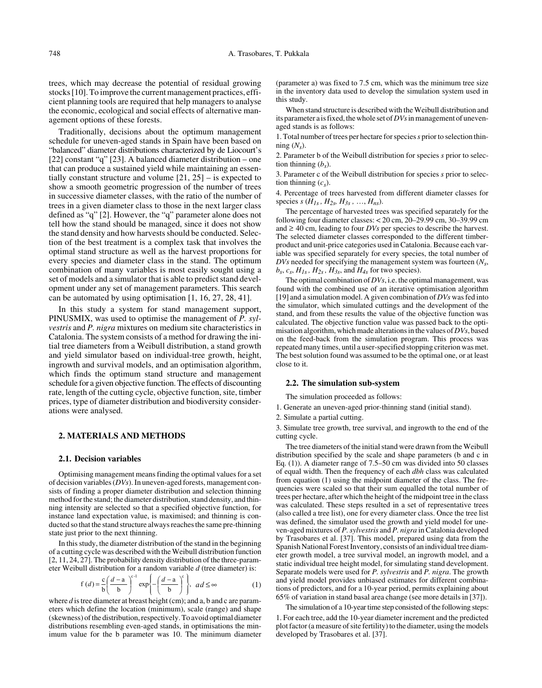trees, which may decrease the potential of residual growing stocks [10]. To improve the current management practices, efficient planning tools are required that help managers to analyse the economic, ecological and social effects of alternative management options of these forests.

Traditionally, decisions about the optimum management schedule for uneven-aged stands in Spain have been based on "balanced" diameter distributions characterized by de Liocourt's [22] constant "q" [23]. A balanced diameter distribution – one that can produce a sustained yield while maintaining an essentially constant structure and volume [21, 25] – is expected to show a smooth geometric progression of the number of trees in successive diameter classes, with the ratio of the number of trees in a given diameter class to those in the next larger class defined as "q" [2]. However, the "q" parameter alone does not tell how the stand should be managed, since it does not show the stand density and how harvests should be conducted. Selection of the best treatment is a complex task that involves the optimal stand structure as well as the harvest proportions for every species and diameter class in the stand. The optimum combination of many variables is most easily sought using a set of models and a simulator that is able to predict stand development under any set of management parameters. This search can be automated by using optimisation [1, 16, 27, 28, 41].

In this study a system for stand management support, PINUSMIX, was used to optimise the management of *P. sylvestris* and *P. nigra* mixtures on medium site characteristics in Catalonia. The system consists of a method for drawing the initial tree diameters from a Weibull distribution, a stand growth and yield simulator based on individual-tree growth, height, ingrowth and survival models, and an optimisation algorithm, which finds the optimum stand structure and management schedule for a given objective function. The effects of discounting rate, length of the cutting cycle, objective function, site, timber prices, type of diameter distribution and biodiversity considerations were analysed.

# **2. MATERIALS AND METHODS**

#### **2.1. Decision variables**

Optimising management means finding the optimal values for a set of decision variables (*DVs*). In uneven-aged forests, management consists of finding a proper diameter distribution and selection thinning method for the stand; the diameter distribution, stand density, and thinning intensity are selected so that a specified objective function, for instance land expectation value, is maximised; and thinning is conducted so that the stand structure always reaches the same pre-thinning state just prior to the next thinning.

In this study, the diameter distribution of the stand in the beginning of a cutting cycle was described with the Weibull distribution function [2, 11, 24, 27]. The probability density distribution of the three-parameter Weibull distribution for a random variable *d* (tree diameter) is:

$$
f(d) = \frac{c}{b} \left( \frac{d-a}{b} \right)^{c-1} \exp \left\{ -\left( \frac{d-a}{b} \right)^{c} \right\}, \quad ad \leq \infty
$$
 (1)

where *d* is tree diameter at breast height (cm); and a, b and c are parameters which define the location (minimum), scale (range) and shape (skewness) of the distribution, respectively. To avoid optimal diameter distributions resembling even-aged stands, in optimisations the minimum value for the b parameter was 10. The minimum diameter

(parameter a) was fixed to 7.5 cm, which was the minimum tree size in the inventory data used to develop the simulation system used in this study.

When stand structure is described with the Weibull distribution and its parameter a is fixed, the whole set of *DVs* in management of unevenaged stands is as follows:

1. Total number of trees per hectare for species *s* prior to selection thinning  $(N_s)$ .

2. Parameter b of the Weibull distribution for species *s* prior to selection thinning  $(b_s)$ .

3. Parameter c of the Weibull distribution for species *s* prior to selection thinning (*cs*).

4. Percentage of trees harvested from different diameter classes for species *s* ( $\bar{H}_{1s}$ ,  $H_{2s}$ ,  $H_{3s}$ , ...,  $H_{ns}$ ).

The percentage of harvested trees was specified separately for the following four diameter classes: < 20 cm, 20–29.99 cm, 30–39.99 cm and  $\geq 40$  cm, leading to four *DVs* per species to describe the harvest. The selected diameter classes corresponded to the different timberproduct and unit-price categories used in Catalonia. Because each variable was specified separately for every species, the total number of *DVs* needed for specifying the management system was fourteen (*Ns*,  $b_s$ ,  $c_s$ ,  $H_{1s}$ ,  $H_{2s}$ ,  $H_{3s}$ , and  $H_{4s}$  for two species).

The optimal combination of *DVs*, i.e. the optimal management, was found with the combined use of an iterative optimisation algorithm [19] and a simulation model. A given combination of *DVs* was fed into the simulator, which simulated cuttings and the development of the stand, and from these results the value of the objective function was calculated. The objective function value was passed back to the optimisation algorithm, which made alterations in the values of *DVs*, based on the feed-back from the simulation program. This process was repeated many times, until a user-specified stopping criterion was met. The best solution found was assumed to be the optimal one, or at least close to it.

#### **2.2. The simulation sub-system**

The simulation proceeded as follows:

1. Generate an uneven-aged prior-thinning stand (initial stand).

2. Simulate a partial cutting.

3. Simulate tree growth, tree survival, and ingrowth to the end of the cutting cycle.

The tree diameters of the initial stand were drawn from the Weibull distribution specified by the scale and shape parameters (b and c in Eq. (1)). A diameter range of 7.5–50 cm was divided into 50 classes of equal width. Then the frequency of each *dbh* class was calculated from equation (1) using the midpoint diameter of the class. The frequencies were scaled so that their sum equalled the total number of trees per hectare, after which the height of the midpoint tree in the class was calculated. These steps resulted in a set of representative trees (also called a tree list), one for every diameter class. Once the tree list was defined, the simulator used the growth and yield model for uneven-aged mixtures of *P. sylvestris* and *P. nigra* in Catalonia developed by Trasobares et al. [37]. This model, prepared using data from the Spanish National Forest Inventory, consists of an individual tree diameter growth model, a tree survival model, an ingrowth model, and a static individual tree height model, for simulating stand development. Separate models were used for *P. sylvestris* and *P. nigra*. The growth and yield model provides unbiased estimates for different combinations of predictors, and for a 10-year period, permits explaining about 65% of variation in stand basal area change (see more details in [37]).

The simulation of a 10-year time step consisted of the following steps: 1. For each tree, add the 10-year diameter increment and the predicted plot factor (a measure of site fertility) to the diameter, using the models developed by Trasobares et al. [37].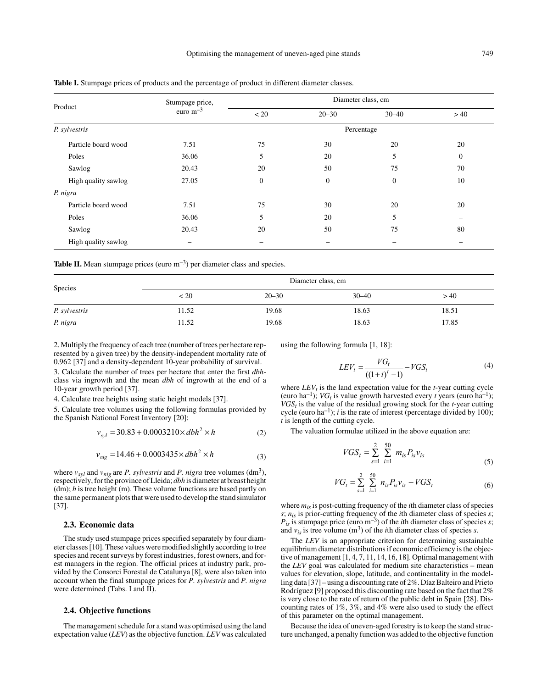|                     | Stumpage price,<br>euro $m^{-3}$ | Diameter class, cm |                  |           |              |  |  |
|---------------------|----------------------------------|--------------------|------------------|-----------|--------------|--|--|
| Product             |                                  | < 20               | $20 - 30$        | $30 - 40$ | >40          |  |  |
| P. sylvestris       |                                  | Percentage         |                  |           |              |  |  |
| Particle board wood | 7.51                             | 75                 | 30               | 20        | 20           |  |  |
| Poles               | 36.06                            | 5                  | 20               | 5         | $\mathbf{0}$ |  |  |
| Sawlog              | 20.43                            | 20                 | 50               | 75        | 70           |  |  |
| High quality sawlog | 27.05                            | $\mathbf{0}$       | $\boldsymbol{0}$ | $\theta$  | 10           |  |  |
| P. nigra            |                                  |                    |                  |           |              |  |  |
| Particle board wood | 7.51                             | 75                 | 30               | 20        | 20           |  |  |
| Poles               | 36.06                            | 5                  | 20               | 5         |              |  |  |
| Sawlog              | 20.43                            | 20                 | 50               | 75        | 80           |  |  |
| High quality sawlog |                                  |                    |                  |           |              |  |  |

**Table I.** Stumpage prices of products and the percentage of product in different diameter classes.

**Table II.** Mean stumpage prices (euro  $m^{-3}$ ) per diameter class and species.

| Species       | Diameter class, cm |           |           |       |  |  |  |
|---------------|--------------------|-----------|-----------|-------|--|--|--|
|               | < 20               | $20 - 30$ | $30 - 40$ | >40   |  |  |  |
| P. sylvestris | 11.52              | 19.68     | 18.63     | 18.51 |  |  |  |
| P. nigra      | 11.52              | 19.68     | 18.63     | 17.85 |  |  |  |

2. Multiply the frequency of each tree (number of trees per hectare represented by a given tree) by the density-independent mortality rate of 0.962 [37] and a density-dependent 10-year probability of survival.

3. Calculate the number of trees per hectare that enter the first *dbh*class via ingrowth and the mean *dbh* of ingrowth at the end of a 10-year growth period [37].

4. Calculate tree heights using static height models [37].

5. Calculate tree volumes using the following formulas provided by the Spanish National Forest Inventory [20]:

$$
v_{syl} = 30.83 + 0.0003210 \times dbh^2 \times h \tag{2}
$$

$$
v_{nig} = 14.46 + 0.0003435 \times dbh^2 \times h \tag{3}
$$

where  $v_{syl}$  and  $v_{nig}$  are *P. sylvestris* and *P. nigra* tree volumes (dm<sup>3</sup>), respectively, for the province of Lleida; *dbh* is diameter at breast height (dm); *h* is tree height (m). These volume functions are based partly on the same permanent plots that were used to develop the stand simulator [37].

#### **2.3. Economic data**

The study used stumpage prices specified separately by four diameter classes [10]. These values were modified slightly according to tree species and recent surveys by forest industries, forest owners, and forest managers in the region. The official prices at industry park, provided by the Consorci Forestal de Catalunya [8], were also taken into account when the final stumpage prices for *P. sylvestris* and *P. nigra* were determined (Tabs. I and II).

#### **2.4. Objective functions**

The management schedule for a stand was optimised using the land expectation value (*LEV*) as the objective function. *LEV* was calculated using the following formula [1, 18]:

$$
LEV_t = \frac{VG_t}{((1+i)^t - 1)} - VGS_t
$$
 (4)

where  $LEV_t$  is the land expectation value for the  $t$ -year cutting cycle (euro ha<sup>-1</sup>); *VG<sub>t</sub>* is value growth harvested every *t* years (euro ha<sup>-1</sup>);  $VGS_t$  is the value of the residual growing stock for the  $t$ -year cutting cycle (euro ha<sup>-1</sup>); *i* is the rate of interest (percentage divided by 100); *t* is length of the cutting cycle.

The valuation formulae utilized in the above equation are:

$$
VGS_t = \sum_{s=1}^{2} \sum_{i=1}^{50} m_{is} P_{is} v_{is}
$$
 (5)

$$
VG_{t} = \sum_{s=1}^{2} \sum_{i=1}^{50} n_{is} P_{is} v_{is} - VGS_{t}
$$
 (6)

where *mis* is post-cutting frequency of the *i*th diameter class of species *s*; *nis* is prior-cutting frequency of the *i*th diameter class of species *s*;  $P_{is}$  is stumpage price (euro m<sup>-3</sup>) of the *i*th diameter class of species *s*; and  $v_{is}$  is tree volume (m<sup>3</sup>) of the *i*th diameter class of species *s*.

The *LEV* is an appropriate criterion for determining sustainable equilibrium diameter distributions if economic efficiency is the objective of management [1, 4, 7, 11, 14, 16, 18]. Optimal management with the *LEV* goal was calculated for medium site characteristics – mean values for elevation, slope, latitude, and continentality in the modelling data [37] – using a discounting rate of 2%. Díaz Balteiro and Prieto Rodríguez [9] proposed this discounting rate based on the fact that 2% is very close to the rate of return of the public debt in Spain [28]. Discounting rates of 1%, 3%, and 4% were also used to study the effect of this parameter on the optimal management.

Because the idea of uneven-aged forestry is to keep the stand structure unchanged, a penalty function was added to the objective function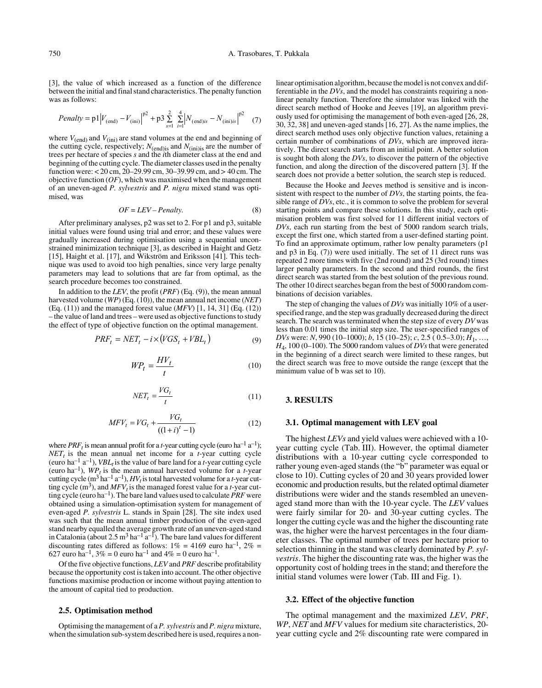[3], the value of which increased as a function of the difference between the initial and final stand characteristics. The penalty function was as follows:

$$
Penalty = p1 |V_{\text{(end)}} - V_{\text{(ini)}}|^{\frac{p^2}{2}} + p3 \sum_{s=1}^{2} \sum_{i=1}^{4} |N_{\text{(end)}is} - N_{\text{(ini)}is}|^{p^2} \quad (7)
$$

where  $V_{\text{(end)}}$  and  $V_{\text{(ini)}}$  are stand volumes at the end and beginning of the cutting cycle, respectively;  $N_{(end)$ is and  $N_{(ini)$ is are the number of trees per hectare of species *s* and the *i*th diameter class at the end and beginning of the cutting cycle. The diameter classes used in the penalty function were: < 20 cm, 20–29.99 cm, 30–39.99 cm, and > 40 cm. The objective function (*OF*), which was maximised when the management of an uneven-aged *P. sylvestris* and *P. nigra* mixed stand was optimised, was

$$
OF = LEV - Penalty.
$$
 (8)

After preliminary analyses, p2 was set to 2. For p1 and p3, suitable initial values were found using trial and error; and these values were gradually increased during optimisation using a sequential unconstrained minimization technique [3], as described in Haight and Getz [15], Haight et al. [17], and Wikström and Eriksson [41]. This technique was used to avoid too high penalties, since very large penalty parameters may lead to solutions that are far from optimal, as the search procedure becomes too constrained.

In addition to the *LEV*, the profit (*PRF*) (Eq. (9)), the mean annual harvested volume (*WP*) (Eq. (10)), the mean annual net income (*NET*) (Eq. (11)) and the managed forest value (*MFV*) [1, 14, 31] (Eq. (12)) – the value of land and trees – were used as objective functions to study the effect of type of objective function on the optimal management.

$$
PRF_t = NET_t - i \times (VGS_t + VBL_t)
$$
\n(9)

$$
WP_t = \frac{HV_t}{t} \tag{10}
$$

$$
NET_t = \frac{VG_t}{t} \tag{11}
$$

$$
MFV_t = VG_t + \frac{VG_t}{((1+i)^t - 1)}
$$
(12)

where *PRF<sub>t</sub>* is mean annual profit for a *t*-year cutting cycle (euro ha<sup>-1</sup> a<sup>-1</sup>);  $NET<sub>t</sub>$  is the mean annual net income for a *t*-year cutting cycle (euro ha<sup>-1</sup> a<sup>-1</sup>), *VBL<sub>t</sub>* is the value of bare land for a *t*-year cutting cycle (euro ha<sup>-1</sup>),  $WP_t$  is the mean annual harvested volume for a *t*-year cutting cycle  $(m^3 \text{ ha}^{-1} a^{-1})$ ,  $HV_t$  is total harvested volume for a *t*-year cutting cycle  $(m^3)$ , and  $MFV_t$  is the managed forest value for a *t*-year cutting cycle (euro ha<sup>-1</sup>). The bare land values used to calculate *PRF* were obtained using a simulation-optimisation system for management of even-aged *P. sylvestris* L. stands in Spain [28]. The site index used was such that the mean annual timber production of the even-aged stand nearby equalled the average growth rate of an uneven-aged stand in Catalonia (about 2.5 m<sup>3</sup> ha<sup>-1</sup> a<sup>-1</sup>). The bare land values for different discounting rates differed as follows:  $1\% = 4169$  euro ha<sup>-1</sup>,  $2\% =$ 627 euro ha<sup>-1</sup>,  $3\% = 0$  euro ha<sup>-1</sup> and  $4\% = 0$  euro ha<sup>-1</sup>.

Of the five objective functions, *LEV* and *PRF* describe profitability because the opportunity cost is taken into account. The other objective functions maximise production or income without paying attention to the amount of capital tied to production.

#### **2.5. Optimisation method**

Optimising the management of a *P. sylvestris* and *P. nigra* mixture, when the simulation sub-system described here is used, requires a nonlinear optimisation algorithm, because the model is not convex and differentiable in the *DVs*, and the model has constraints requiring a nonlinear penalty function. Therefore the simulator was linked with the direct search method of Hooke and Jeeves [19], an algorithm previously used for optimising the management of both even-aged [26, 28, 30, 32, 38] and uneven-aged stands [16, 27]. As the name implies, the direct search method uses only objective function values, retaining a certain number of combinations of *DVs*, which are improved iteratively. The direct search starts from an initial point. A better solution is sought both along the *DVs*, to discover the pattern of the objective function, and along the direction of the discovered pattern [3]. If the search does not provide a better solution, the search step is reduced.

Because the Hooke and Jeeves method is sensitive and is inconsistent with respect to the number of *DVs*, the starting points, the feasible range of *DVs*, etc., it is common to solve the problem for several starting points and compare these solutions. In this study, each optimisation problem was first solved for 11 different initial vectors of *DVs*, each run starting from the best of 5000 random search trials, except the first one, which started from a user-defined starting point. To find an approximate optimum, rather low penalty parameters (p1 and p3 in Eq. (7)) were used initially. The set of 11 direct runs was repeated 2 more times with five (2nd round) and 25 (3rd round) times larger penalty parameters. In the second and third rounds, the first direct search was started from the best solution of the previous round. The other 10 direct searches began from the best of 5000 random combinations of decision variables.

The step of changing the values of *DVs* was initially 10% of a userspecified range, and the step was gradually decreased during the direct search. The search was terminated when the step size of every *DV* was less than 0.01 times the initial step size. The user-specified ranges of *DVs* were: *N*, 990 (10–1000); *b*, 15 (10–25); *c*, 2.5 ( 0.5–3.0); *H*1, …, *H*4, 100 (0–100). The 5000 random values of *DVs* that were generated in the beginning of a direct search were limited to these ranges, but the direct search was free to move outside the range (except that the minimum value of b was set to 10).

## **3. RESULTS**

#### **3.1. Optimal management with LEV goal**

The highest *LEVs* and yield values were achieved with a 10 year cutting cycle (Tab. III). However, the optimal diameter distributions with a 10-year cutting cycle corresponded to rather young even-aged stands (the "b" parameter was equal or close to 10). Cutting cycles of 20 and 30 years provided lower economic and production results, but the related optimal diameter distributions were wider and the stands resembled an unevenaged stand more than with the 10-year cycle. The *LEV* values were fairly similar for 20- and 30-year cutting cycles. The longer the cutting cycle was and the higher the discounting rate was, the higher were the harvest percentages in the four diameter classes. The optimal number of trees per hectare prior to selection thinning in the stand was clearly dominated by *P. sylvestris*. The higher the discounting rate was, the higher was the opportunity cost of holding trees in the stand; and therefore the initial stand volumes were lower (Tab. III and Fig. 1).

#### **3.2. Effect of the objective function**

The optimal management and the maximized *LEV*, *PRF*, *WP*, *NET* and *MFV* values for medium site characteristics, 20 year cutting cycle and 2% discounting rate were compared in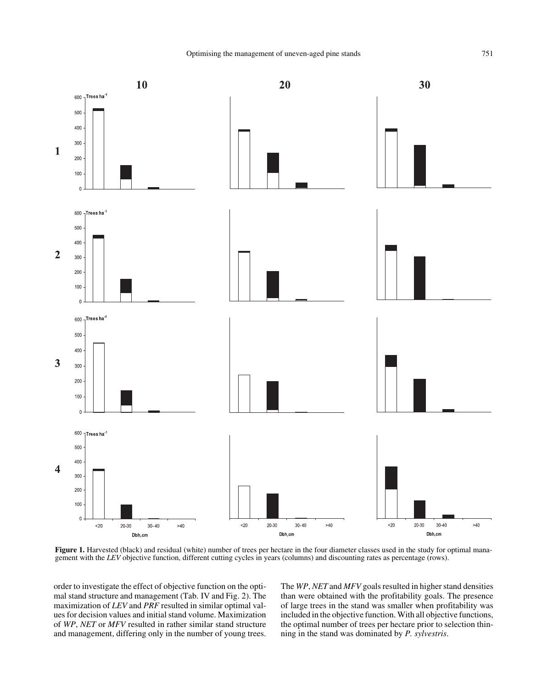20





Figure 1. Harvested (black) and residual (white) number of trees per hectare in the four diameter classes used in the study for optimal management with the *LEV* objective function, different cutting cycles in years (columns) and discounting rates as percentage (rows).

order to investigate the effect of objective function on the optimal stand structure and management (Tab. IV and Fig. 2). The maximization of *LEV* and *PRF* resulted in similar optimal values for decision values and initial stand volume. Maximization of *WP*, *NET* or *MFV* resulted in rather similar stand structure and management, differing only in the number of young trees.

10

The *WP*, *NET* and *MFV* goals resulted in higher stand densities than were obtained with the profitability goals. The presence of large trees in the stand was smaller when profitability was included in the objective function. With all objective functions, the optimal number of trees per hectare prior to selection thinning in the stand was dominated by *P. sylvestris*.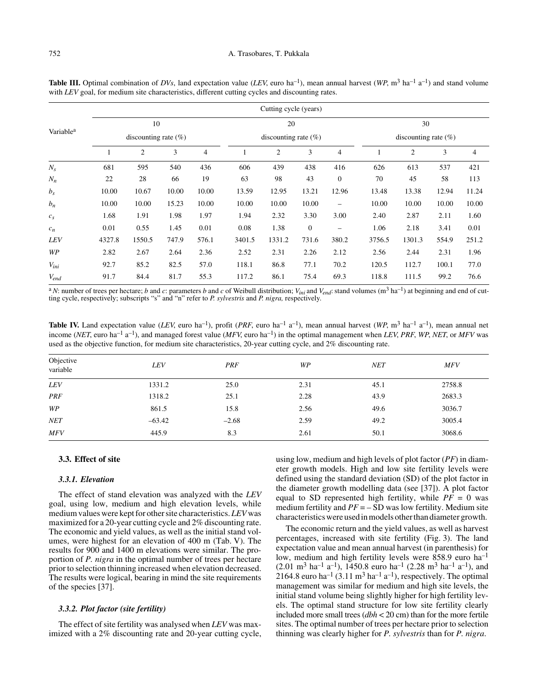|                       |        | Cutting cycle (years)         |       |                |                               |                |              |                                |        |                |       |       |
|-----------------------|--------|-------------------------------|-------|----------------|-------------------------------|----------------|--------------|--------------------------------|--------|----------------|-------|-------|
| Variable <sup>a</sup> |        | 10<br>discounting rate $(\%)$ |       |                | 20<br>discounting rate $(\%)$ |                |              | 30<br>discounting rate $(\% )$ |        |                |       |       |
|                       |        |                               |       |                |                               |                |              |                                |        |                |       |       |
|                       |        | $\overline{c}$                | 3     | $\overline{4}$ |                               | $\overline{2}$ | 3            | $\overline{4}$                 |        | $\overline{2}$ | 3     | 4     |
| $N_{\rm s}$           | 681    | 595                           | 540   | 436            | 606                           | 439            | 438          | 416                            | 626    | 613            | 537   | 421   |
| $N_n$                 | 22     | 28                            | 66    | 19             | 63                            | 98             | 43           | $\theta$                       | 70     | 45             | 58    | 113   |
| $b_{s}$               | 10.00  | 10.67                         | 10.00 | 10.00          | 13.59                         | 12.95          | 13.21        | 12.96                          | 13.48  | 13.38          | 12.94 | 11.24 |
| $b_n$                 | 10.00  | 10.00                         | 15.23 | 10.00          | 10.00                         | 10.00          | 10.00        | $\overline{\phantom{0}}$       | 10.00  | 10.00          | 10.00 | 10.00 |
| $c_s$                 | 1.68   | 1.91                          | 1.98  | 1.97           | 1.94                          | 2.32           | 3.30         | 3.00                           | 2.40   | 2.87           | 2.11  | 1.60  |
| $c_n$                 | 0.01   | 0.55                          | 1.45  | 0.01           | 0.08                          | 1.38           | $\mathbf{0}$ | —                              | 1.06   | 2.18           | 3.41  | 0.01  |
| <b>LEV</b>            | 4327.8 | 1550.5                        | 747.9 | 576.1          | 3401.5                        | 1331.2         | 731.6        | 380.2                          | 3756.5 | 1301.3         | 554.9 | 251.2 |
| WP                    | 2.82   | 2.67                          | 2.64  | 2.36           | 2.52                          | 2.31           | 2.26         | 2.12                           | 2.56   | 2.44           | 2.31  | 1.96  |
| $V_{ini}$             | 92.7   | 85.2                          | 82.5  | 57.0           | 118.1                         | 86.8           | 77.1         | 70.2                           | 120.5  | 112.7          | 100.1 | 77.0  |
| $V_{end}$             | 91.7   | 84.4                          | 81.7  | 55.3           | 117.2                         | 86.1           | 75.4         | 69.3                           | 118.8  | 111.5          | 99.2  | 76.6  |

**Table III.** Optimal combination of *DVs*, land expectation value (*LEV*, euro ha<sup>-1</sup>), mean annual harvest (*WP*, m<sup>3</sup> ha<sup>-1</sup> a<sup>-1</sup>) and stand volume with *LEV* goal, for medium site characteristics, different cutting cycles and discounting rates.

<sup>a</sup> *N*: number of trees per hectare; *b* and *c*: parameters *b* and *c* of Weibull distribution;  $V_{ini}$  and  $V_{end}$ : stand volumes (m<sup>3</sup> ha<sup>-1</sup>) at beginning and end of cutting cycle, respectively; subscripts "s" and "n" refer to *P. sylvestris* and *P. nigra,* respectively.

**Table IV.** Land expectation value (*LEV*, euro ha<sup>-1</sup>), profit (*PRF*, euro ha<sup>-1</sup> a<sup>-1</sup>), mean annual harvest (*WP*, m<sup>3</sup> ha<sup>-1</sup> a<sup>-1</sup>), mean annual net income (*NET*, euro ha–1 a–1), and managed forest value (*MFV*, euro ha–1) in the optimal management when *LEV*, *PRF*, *WP*, *NET*, or *MFV* was used as the objective function, for medium site characteristics, 20-year cutting cycle, and 2% discounting rate.

| Objective<br>variable | LEV      | PRF     | WP   | <b>NET</b> | <b>MFV</b> |
|-----------------------|----------|---------|------|------------|------------|
| LEV                   | 1331.2   | 25.0    | 2.31 | 45.1       | 2758.8     |
| <b>PRF</b>            | 1318.2   | 25.1    | 2.28 | 43.9       | 2683.3     |
| WP                    | 861.5    | 15.8    | 2.56 | 49.6       | 3036.7     |
| <b>NET</b>            | $-63.42$ | $-2.68$ | 2.59 | 49.2       | 3005.4     |
| <b>MFV</b>            | 445.9    | 8.3     | 2.61 | 50.1       | 3068.6     |

# **3.3. Effect of site**

#### *3.3.1. Elevation*

The effect of stand elevation was analyzed with the *LEV* goal, using low, medium and high elevation levels, while medium values were kept for other site characteristics. *LEV* was maximized for a 20-year cutting cycle and 2% discounting rate. The economic and yield values, as well as the initial stand volumes, were highest for an elevation of 400 m (Tab. V). The results for 900 and 1400 m elevations were similar. The proportion of *P. nigra* in the optimal number of trees per hectare prior to selection thinning increased when elevation decreased. The results were logical, bearing in mind the site requirements of the species [37].

#### *3.3.2. Plot factor (site fertility)*

The effect of site fertility was analysed when *LEV* was maximized with a 2% discounting rate and 20-year cutting cycle,

using low, medium and high levels of plot factor (*PF*) in diameter growth models. High and low site fertility levels were defined using the standard deviation (SD) of the plot factor in the diameter growth modelling data (see [37]). A plot factor equal to SD represented high fertility, while  $PF = 0$  was medium fertility and  $PF = -SD$  was low fertility. Medium site characteristics were used in models other than diameter growth.

The economic return and the yield values, as well as harvest percentages, increased with site fertility (Fig. 3). The land expectation value and mean annual harvest (in parenthesis) for low, medium and high fertility levels were 858.9 euro  $ha^{-1}$  $(2.01 \text{ m}^3 \text{ ha}^{-1} \text{ a}^{-1})$ , 1450.8 euro ha<sup>-1</sup> (2.28 m<sup>3</sup> ha<sup>-1</sup> a<sup>-1</sup>), and 2164.8 euro ha<sup>-1</sup> (3.11 m<sup>3</sup> ha<sup>-1</sup> a<sup>-1</sup>), respectively. The optimal management was similar for medium and high site levels, the initial stand volume being slightly higher for high fertility levels. The optimal stand structure for low site fertility clearly included more small trees (*dbh* < 20 cm) than for the more fertile sites. The optimal number of trees per hectare prior to selection thinning was clearly higher for *P. sylvestris* than for *P. nigra*.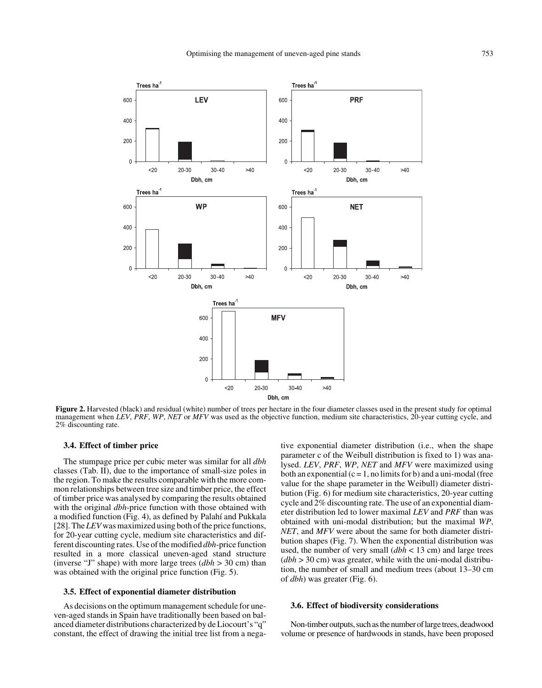

**Figure 2.** Harvested (black) and residual (white) number of trees per hectare in the four diameter classes used in the present study for optimal management when *LEV*, *PRF*, *WP*, *NET* or *MFV* was used as the objective function, medium site characteristics, 20-year cutting cycle, and 2% discounting rate.

# **3.4. Effect of timber price**

The stumpage price per cubic meter was similar for all *dbh* classes (Tab. II), due to the importance of small-size poles in the region. To make the results comparable with the more common relationships between tree size and timber price, the effect of timber price was analysed by comparing the results obtained with the original *dbh*-price function with those obtained with a modified function (Fig. 4), as defined by Palahí and Pukkala [28]. The *LEV* was maximized using both of the price functions, for 20-year cutting cycle, medium site characteristics and different discounting rates. Use of the modified *dbh*-price function resulted in a more classical uneven-aged stand structure (inverse "J" shape) with more large trees (*dbh* > 30 cm) than was obtained with the original price function (Fig. 5).

# **3.5. Effect of exponential diameter distribution**

As decisions on the optimum management schedule for uneven-aged stands in Spain have traditionally been based on balanced diameter distributions characterized by de Liocourt's "q" constant, the effect of drawing the initial tree list from a negative exponential diameter distribution (i.e., when the shape parameter c of the Weibull distribution is fixed to 1) was analysed. *LEV*, *PRF*, *WP*, *NET* and *MFV* were maximized using both an exponential  $(c = 1, no limits for b)$  and a uni-modal (free value for the shape parameter in the Weibull) diameter distribution (Fig. 6) for medium site characteristics, 20-year cutting cycle and 2% discounting rate. The use of an exponential diameter distribution led to lower maximal *LEV* and *PRF* than was obtained with uni-modal distribution; but the maximal *WP*, *NET*, and *MFV* were about the same for both diameter distribution shapes (Fig. 7). When the exponential distribution was used, the number of very small (*dbh* < 13 cm) and large trees (*dbh* > 30 cm) was greater, while with the uni-modal distribution, the number of small and medium trees (about 13–30 cm of *dbh*) was greater (Fig. 6).

# **3.6. Effect of biodiversity considerations**

Non-timber outputs, such as the number of large trees, deadwood volume or presence of hardwoods in stands, have been proposed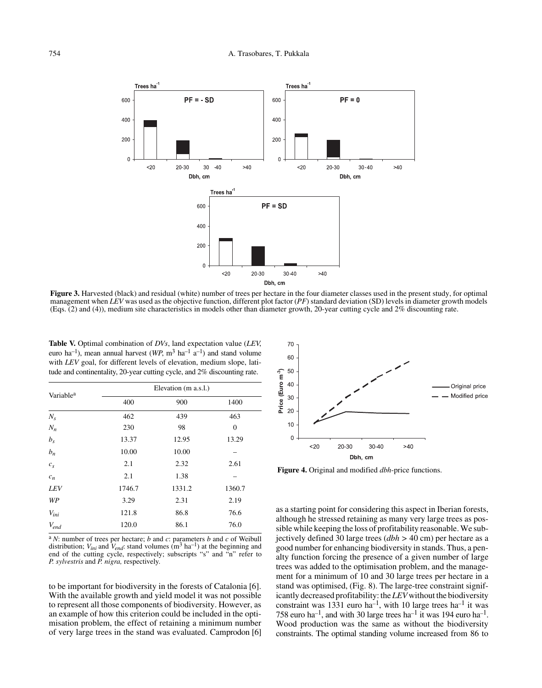

**Figure 3.** Harvested (black) and residual (white) number of trees per hectare in the four diameter classes used in the present study, for optimal management when *LEV* was used as the objective function, different plot factor (*PF*) standard deviation (SD) levels in diameter growth models (Eqs. (2) and (4)), medium site characteristics in models other than diameter growth, 20-year cutting cycle and 2% discounting rate.

**Table V.** Optimal combination of *DVs*, land expectation value (*LEV*, euro ha<sup>-1</sup>), mean annual harvest ( $WP$ ,  $m^3$  ha<sup>-1</sup> a<sup>-1</sup>) and stand volume with *LEV* goal, for different levels of elevation, medium slope, latitude and continentality, 20-year cutting cycle, and 2% discounting rate.

| Variable <sup>a</sup> | Elevation (m a.s.l.) |        |                  |  |  |  |
|-----------------------|----------------------|--------|------------------|--|--|--|
|                       | 400                  | 900    | 1400             |  |  |  |
| $N_{\rm s}$           | 462                  | 439    | 463              |  |  |  |
| $N_n$                 | 230                  | 98     | $\boldsymbol{0}$ |  |  |  |
| $b_s$                 | 13.37                | 12.95  | 13.29            |  |  |  |
| $b_n$                 | 10.00                | 10.00  |                  |  |  |  |
| $c_s$                 | 2.1                  | 2.32   | 2.61             |  |  |  |
| $c_n$                 | 2.1                  | 1.38   |                  |  |  |  |
| <b>LEV</b>            | 1746.7               | 1331.2 | 1360.7           |  |  |  |
| WP                    | 3.29                 | 2.31   | 2.19             |  |  |  |
| $V_{ini}$             | 121.8                | 86.8   | 76.6             |  |  |  |
| $V_{end}$             | 120.0                | 86.1   | 76.0             |  |  |  |

<sup>a</sup>*N*: number of trees per hectare; *b* and *c*: parameters *b* and *c* of Weibull distribution;  $V_{ini}$  and  $V_{end}$ : stand volumes (m<sup>3</sup> ha<sup>-1</sup>) at the beginning and end of the cutting cycle, respectively; subscripts "s" and "n" refer to *P. sylvestris* and *P. nigra,* respectively.

to be important for biodiversity in the forests of Catalonia [6]. With the available growth and yield model it was not possible to represent all those components of biodiversity. However, as an example of how this criterion could be included in the optimisation problem, the effect of retaining a minimum number of very large trees in the stand was evaluated. Camprodon [6]



**Figure 4.** Original and modified *dbh*-price functions.

as a starting point for considering this aspect in Iberian forests, although he stressed retaining as many very large trees as possible while keeping the loss of profitability reasonable. We subjectively defined 30 large trees (*dbh >* 40 cm) per hectare as a good number for enhancing biodiversity in stands. Thus, a penalty function forcing the presence of a given number of large trees was added to the optimisation problem, and the management for a minimum of 10 and 30 large trees per hectare in a stand was optimised, (Fig. 8). The large-tree constraint significantly decreased profitability: the *LEV* without the biodiversity constraint was 1331 euro ha–1, with 10 large trees ha–1 it was 758 euro ha<sup>-1</sup>, and with 30 large trees ha<sup>-1</sup> it was 194 euro ha<sup>-1</sup>. Wood production was the same as without the biodiversity constraints. The optimal standing volume increased from 86 to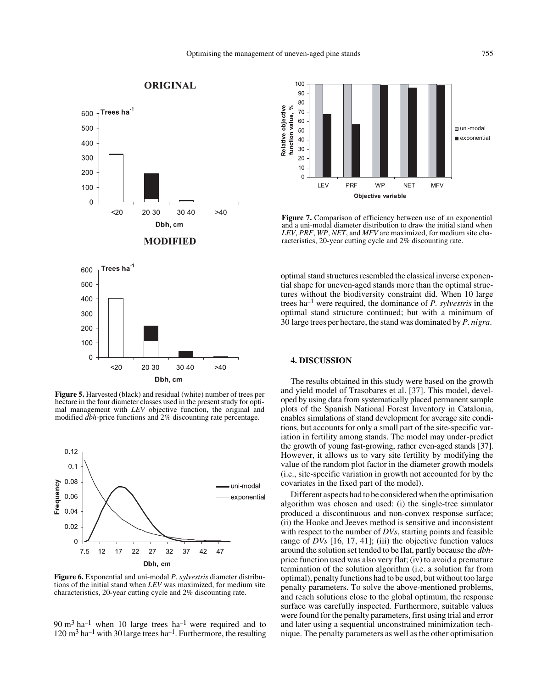# Trees ha<sup>-1</sup> 600 500 400 300 200 100  $\overline{0}$  $<sub>20</sub>$ </sub>  $20 - 30$  $30 - 40$  $>40$ Dbh, cm **MODIFIED** Trees ha<sup>1</sup> 600 500 400 300 200 100  $\Omega$  $<sub>20</sub>$ </sub> 20-30 30-40  $>40$ Dbh, cm

**ORIGINAL** 

**Figure 5.** Harvested (black) and residual (white) number of trees per hectare in the four diameter classes used in the present study for optimal management with *LEV* objective function, the original and modified *dbh*-price functions and 2% discounting rate percentage.



**Figure 6.** Exponential and uni-modal *P. sylvestris* diameter distributions of the initial stand when *LEV* was maximized, for medium site characteristics, 20-year cutting cycle and 2% discounting rate.

 $90 \text{ m}^3$  ha<sup>-1</sup> when 10 large trees ha<sup>-1</sup> were required and to  $120 \text{ m}^3$  ha<sup>-1</sup> with 30 large trees ha<sup>-1</sup>. Furthermore, the resulting



**Figure 7.** Comparison of efficiency between use of an exponential and a uni-modal diameter distribution to draw the initial stand when *LEV*, *PRF*, *WP*, *NET*, and *MFV* are maximized, for medium site characteristics, 20-year cutting cycle and 2% discounting rate.

optimal stand structures resembled the classical inverse exponential shape for uneven-aged stands more than the optimal structures without the biodiversity constraint did. When 10 large trees ha–1 were required, the dominance of *P. sylvestris* in the optimal stand structure continued; but with a minimum of 30 large trees per hectare, the stand was dominated by *P. nigra*.

#### **4. DISCUSSION**

The results obtained in this study were based on the growth and yield model of Trasobares et al. [37]. This model, developed by using data from systematically placed permanent sample plots of the Spanish National Forest Inventory in Catalonia, enables simulations of stand development for average site conditions, but accounts for only a small part of the site-specific variation in fertility among stands. The model may under-predict the growth of young fast-growing, rather even-aged stands [37]. However, it allows us to vary site fertility by modifying the value of the random plot factor in the diameter growth models (i.e., site-specific variation in growth not accounted for by the covariates in the fixed part of the model).

Different aspects had to be considered when the optimisation algorithm was chosen and used: (i) the single-tree simulator produced a discontinuous and non-convex response surface; (ii) the Hooke and Jeeves method is sensitive and inconsistent with respect to the number of *DVs*, starting points and feasible range of *DVs* [16, 17, 41]; (iii) the objective function values around the solution set tended to be flat, partly because the *dbh*price function used was also very flat; (iv) to avoid a premature termination of the solution algorithm (i.e. a solution far from optimal), penalty functions had to be used, but without too large penalty parameters. To solve the above-mentioned problems, and reach solutions close to the global optimum, the response surface was carefully inspected. Furthermore, suitable values were found for the penalty parameters, first using trial and error and later using a sequential unconstrained minimization technique. The penalty parameters as well as the other optimisation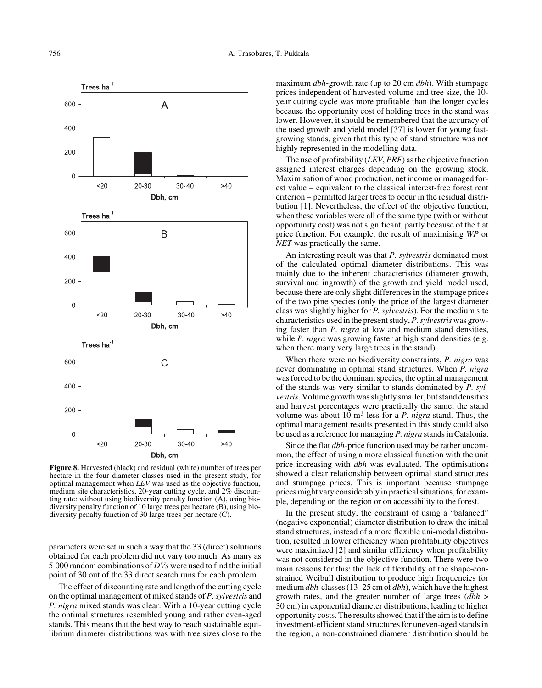

**Figure 8.** Harvested (black) and residual (white) number of trees per hectare in the four diameter classes used in the present study, for optimal management when *LEV* was used as the objective function, medium site characteristics, 20-year cutting cycle, and 2% discounting rate: without using biodiversity penalty function (A), using biodiversity penalty function of 10 large trees per hectare (B), using biodiversity penalty function of 30 large trees per hectare (C).

parameters were set in such a way that the 33 (direct) solutions obtained for each problem did not vary too much. As many as 5 000 random combinations of *DVs* were used to find the initial point of 30 out of the 33 direct search runs for each problem.

The effect of discounting rate and length of the cutting cycle on the optimal management of mixed stands of *P. sylvestris* and *P. nigra* mixed stands was clear. With a 10-year cutting cycle the optimal structures resembled young and rather even-aged stands. This means that the best way to reach sustainable equilibrium diameter distributions was with tree sizes close to the maximum *dbh*-growth rate (up to 20 cm *dbh*). With stumpage prices independent of harvested volume and tree size, the 10 year cutting cycle was more profitable than the longer cycles because the opportunity cost of holding trees in the stand was lower. However, it should be remembered that the accuracy of the used growth and yield model [37] is lower for young fastgrowing stands, given that this type of stand structure was not highly represented in the modelling data.

The use of profitability (*LEV*, *PRF*) as the objective function assigned interest charges depending on the growing stock. Maximisation of wood production, net income or managed forest value – equivalent to the classical interest-free forest rent criterion – permitted larger trees to occur in the residual distribution [1]. Nevertheless, the effect of the objective function, when these variables were all of the same type (with or without opportunity cost) was not significant, partly because of the flat price function. For example, the result of maximising *WP* or *NET* was practically the same.

An interesting result was that *P. sylvestris* dominated most of the calculated optimal diameter distributions. This was mainly due to the inherent characteristics (diameter growth, survival and ingrowth) of the growth and yield model used, because there are only slight differences in the stumpage prices of the two pine species (only the price of the largest diameter class was slightly higher for *P. sylvestris*). For the medium site characteristics used in the present study, *P. sylvestris* was growing faster than *P. nigra* at low and medium stand densities, while *P. nigra* was growing faster at high stand densities (e.g. when there many very large trees in the stand).

When there were no biodiversity constraints, *P. nigra* was never dominating in optimal stand structures. When *P. nigra* was forced to be the dominant species, the optimal management of the stands was very similar to stands dominated by *P. sylvestris*. Volume growth was slightly smaller, but stand densities and harvest percentages were practically the same; the stand volume was about 10 m3 less for a *P. nigra* stand. Thus, the optimal management results presented in this study could also be used as a reference for managing *P. nigra* stands in Catalonia.

Since the flat *dbh*-price function used may be rather uncommon, the effect of using a more classical function with the unit price increasing with *dbh* was evaluated. The optimisations showed a clear relationship between optimal stand structures and stumpage prices. This is important because stumpage prices might vary considerably in practical situations, for example, depending on the region or on accessibility to the forest.

In the present study, the constraint of using a "balanced" (negative exponential) diameter distribution to draw the initial stand structures, instead of a more flexible uni-modal distribution, resulted in lower efficiency when profitability objectives were maximized [2] and similar efficiency when profitability was not considered in the objective function. There were two main reasons for this: the lack of flexibility of the shape-constrained Weibull distribution to produce high frequencies for medium *dbh*-classes (13–25 cm of *dbh*), which have the highest growth rates, and the greater number of large trees (*dbh* > 30 cm) in exponential diameter distributions, leading to higher opportunity costs. The results showed that if the aim is to define investment-efficient stand structures for uneven-aged stands in the region, a non-constrained diameter distribution should be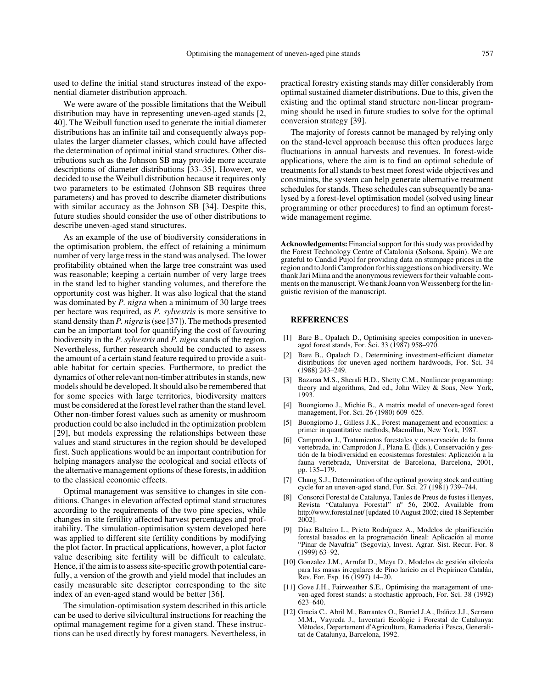used to define the initial stand structures instead of the exponential diameter distribution approach.

We were aware of the possible limitations that the Weibull distribution may have in representing uneven-aged stands [2, 40]. The Weibull function used to generate the initial diameter distributions has an infinite tail and consequently always populates the larger diameter classes, which could have affected the determination of optimal initial stand structures. Other distributions such as the Johnson SB may provide more accurate descriptions of diameter distributions [33–35]. However, we decided to use the Weibull distribution because it requires only two parameters to be estimated (Johnson SB requires three parameters) and has proved to describe diameter distributions with similar accuracy as the Johnson SB [34]. Despite this, future studies should consider the use of other distributions to describe uneven-aged stand structures.

As an example of the use of biodiversity considerations in the optimisation problem, the effect of retaining a minimum number of very large tress in the stand was analysed. The lower profitability obtained when the large tree constraint was used was reasonable; keeping a certain number of very large trees in the stand led to higher standing volumes, and therefore the opportunity cost was higher. It was also logical that the stand was dominated by *P. nigra* when a minimum of 30 large trees per hectare was required, as *P. sylvestris* is more sensitive to stand density than *P. nigra* is (see [37]). The methods presented can be an important tool for quantifying the cost of favouring biodiversity in the *P. sylvestris* and *P. nigra* stands of the region. Nevertheless, further research should be conducted to assess the amount of a certain stand feature required to provide a suitable habitat for certain species. Furthermore, to predict the dynamics of other relevant non-timber attributes in stands, new models should be developed. It should also be remembered that for some species with large territories, biodiversity matters must be considered at the forest level rather than the stand level. Other non-timber forest values such as amenity or mushroom production could be also included in the optimization problem [29], but models expressing the relationships between these values and stand structures in the region should be developed first. Such applications would be an important contribution for helping managers analyse the ecological and social effects of the alternative management options of these forests, in addition to the classical economic effects.

Optimal management was sensitive to changes in site conditions. Changes in elevation affected optimal stand structures according to the requirements of the two pine species, while changes in site fertility affected harvest percentages and profitability. The simulation-optimisation system developed here was applied to different site fertility conditions by modifying the plot factor. In practical applications, however, a plot factor value describing site fertility will be difficult to calculate. Hence, if the aim is to assess site-specific growth potential carefully, a version of the growth and yield model that includes an easily measurable site descriptor corresponding to the site index of an even-aged stand would be better [36].

The simulation-optimisation system described in this article can be used to derive silvicultural instructions for reaching the optimal management regime for a given stand. These instructions can be used directly by forest managers. Nevertheless, in practical forestry existing stands may differ considerably from optimal sustained diameter distributions. Due to this, given the existing and the optimal stand structure non-linear programming should be used in future studies to solve for the optimal conversion strategy [39].

The majority of forests cannot be managed by relying only on the stand-level approach because this often produces large fluctuations in annual harvests and revenues. In forest-wide applications, where the aim is to find an optimal schedule of treatments for all stands to best meet forest wide objectives and constraints, the system can help generate alternative treatment schedules for stands. These schedules can subsequently be analysed by a forest-level optimisation model (solved using linear programming or other procedures) to find an optimum forestwide management regime.

**Acknowledgements:** Financial support for this study was provided by the Forest Technology Centre of Catalonia (Solsona, Spain). We are grateful to Candid Pujol for providing data on stumpage prices in the region and to Jordi Camprodon for his suggestions on biodiversity. We thank Jari Miina and the anonymous reviewers for their valuable comments on the manuscript. We thank Joann von Weissenberg for the linguistic revision of the manuscript.

#### **REFERENCES**

- [1] Bare B., Opalach D., Optimising species composition in unevenaged forest stands, For. Sci. 33 (1987) 958–970.
- Bare B., Opalach D., Determining investment-efficient diameter distributions for uneven-aged northern hardwoods, For. Sci. 34 (1988) 243–249.
- [3] Bazaraa M.S., Sherali H.D., Shetty C.M., Nonlinear programming: theory and algorithms, 2nd ed., John Wiley & Sons, New York, 1993.
- [4] Buongiorno J., Michie B., A matrix model of uneven-aged forest management, For. Sci. 26 (1980) 609–625.
- [5] Buongiorno J., Gilless J.K., Forest management and economics: a primer in quantitative methods, Macmillan, New York, 1987.
- Camprodon J., Tratamientos forestales y conservación de la fauna vertebrada, in: Camprodon J., Plana E. (Eds.), Conservación y gestión de la biodiversidad en ecosistemas forestales: Aplicación a la fauna vertebrada, Universitat de Barcelona, Barcelona, 2001, pp. 135–179.
- [7] Chang S.J., Determination of the optimal growing stock and cutting cycle for an uneven-aged stand, For. Sci. 27 (1981) 739–744.
- Consorci Forestal de Catalunya, Taules de Preus de fustes i llenyes, Revista "Catalunya Forestal" nº 56, 2002. Available from http://www.forestal.net/ [updated 10 August 2002; cited 18 September 2002].
- [9] Díaz Balteiro L., Prieto Rodríguez A., Modelos de planificación forestal basados en la programación lineal: Aplicación al monte "Pinar de Navafria" (Segovia), Invest. Agrar. Sist. Recur. For. 8 (1999) 63–92.
- [10] Gonzalez J.M., Arrufat D., Meya D., Modelos de gestión silvícola para las masas irregulares de Pino laricio en el Prepirineo Catalán, Rev. For. Esp. 16 (1997) 14–20.
- [11] Gove J.H., Fairweather S.E., Optimising the management of uneven-aged forest stands: a stochastic approach, For. Sci. 38 (1992) 623–640.
- [12] Gracia C., Abril M., Barrantes O., Burriel J.A., Ibáñez J.J., Serrano M.M., Vayreda J., Inventari Ecològic i Forestal de Catalunya: Mètodes, Departament d'Agricultura, Ramaderia i Pesca, Generalitat de Catalunya, Barcelona, 1992.